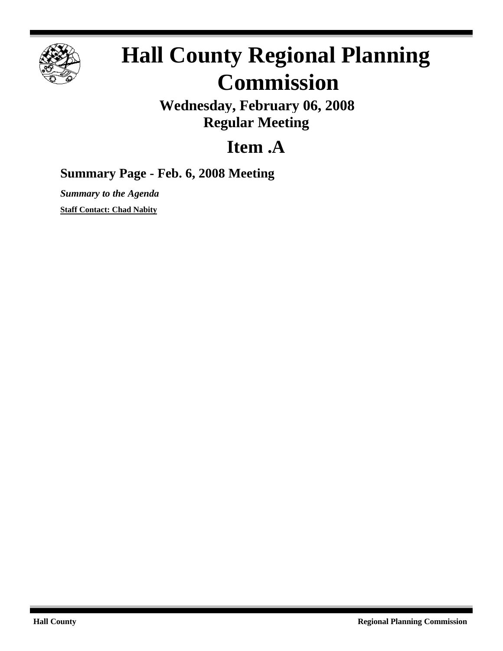

## **Hall County Regional Planning Commission**

**Wednesday, February 06, 2008 Regular Meeting**

## **Item .A**

## **Summary Page - Feb. 6, 2008 Meeting**

*Summary to the Agenda* **Staff Contact: Chad Nabity**